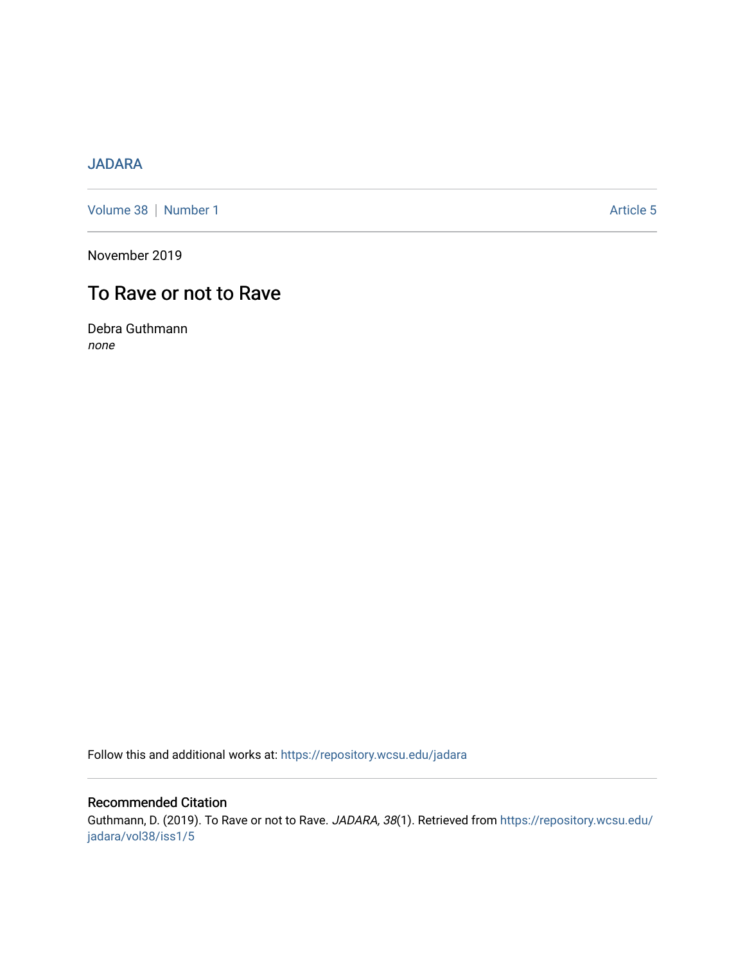## [JADARA](https://repository.wcsu.edu/jadara)

[Volume 38](https://repository.wcsu.edu/jadara/vol38) | [Number 1](https://repository.wcsu.edu/jadara/vol38/iss1) Article 5

November 2019

# To Rave or not to Rave

Debra Guthmann none

Follow this and additional works at: [https://repository.wcsu.edu/jadara](https://repository.wcsu.edu/jadara?utm_source=repository.wcsu.edu%2Fjadara%2Fvol38%2Fiss1%2F5&utm_medium=PDF&utm_campaign=PDFCoverPages)

### Recommended Citation

Guthmann, D. (2019). To Rave or not to Rave. JADARA, 38(1). Retrieved from [https://repository.wcsu.edu/](https://repository.wcsu.edu/jadara/vol38/iss1/5?utm_source=repository.wcsu.edu%2Fjadara%2Fvol38%2Fiss1%2F5&utm_medium=PDF&utm_campaign=PDFCoverPages) [jadara/vol38/iss1/5](https://repository.wcsu.edu/jadara/vol38/iss1/5?utm_source=repository.wcsu.edu%2Fjadara%2Fvol38%2Fiss1%2F5&utm_medium=PDF&utm_campaign=PDFCoverPages)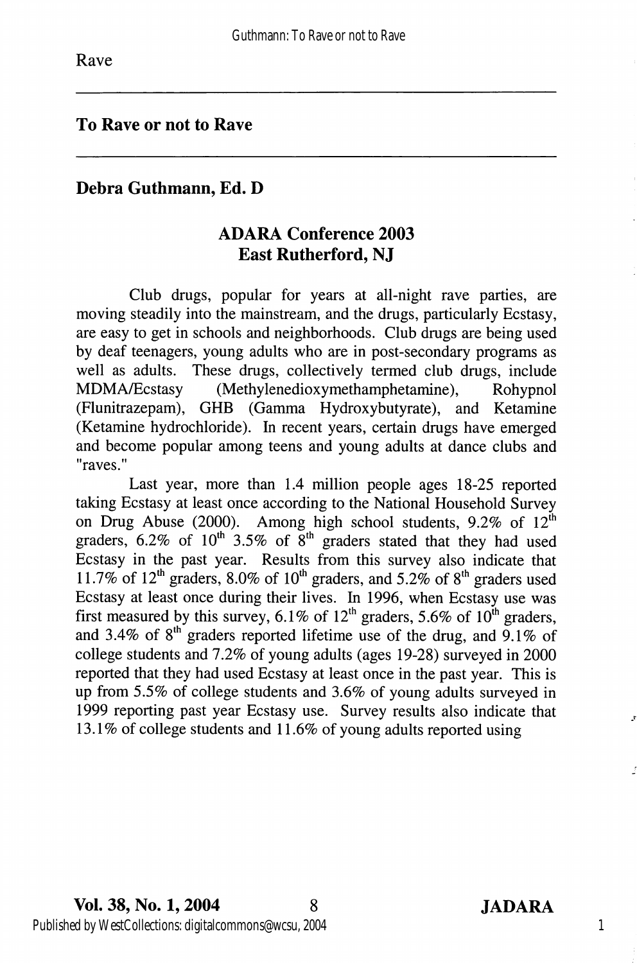#### To Rave or not to Rave

#### Debra Guthmann, Ed. D

### ADARA Conference 2003 East Rutherford, NJ

Club drugs, popular for years at all-night rave parties, are moving steadily into the mainstream, and the drugs, particularly Ecstasy, are easy to get in schools and neighborhoods. Club drugs are being used by deaf teenagers, young adults who are in post-secondary programs as well as adults. These drugs, collectively termed club drugs, include MDMA/Ecstasy (Methylenedioxymethamphetamine), Rohypnol (Flunitrazepam), GHB (Gamma Hydroxybutyrate), and Ketamine (Ketamine hydrochloride). In recent years, certain drugs have emerged and become popular among teens and young adults at dance clubs and "raves."

Last year, more than 1.4 million people ages 18-25 reported taking Ecstasy at least once according to the National Household Survey on Drug Abuse (2000). Among high school students,  $9.2\%$  of  $12^{\text{th}}$ graders,  $6.2\%$  of  $10^{th}$  3.5% of  $8^{th}$  graders stated that they had used Ecstasy in the past year. Results from this survey also indicate that 11.7% of 12<sup>th</sup> graders, 8.0% of 10<sup>th</sup> graders, and 5.2% of 8<sup>th</sup> graders used Ecstasy at least once during their lives. In 1996, when Ecstasy use was first measured by this survey, 6.1% of 12<sup>th</sup> graders, 5.6% of 10<sup>th</sup> graders, and 3.4% of  $8<sup>th</sup>$  graders reported lifetime use of the drug, and 9.1% of college students and 7.2% of young adults (ages 19-28) surveyed in 2000 reported that they had used Ecstasy at least once in the past year. This is up from 5.5% of college students and 3.6% of young adults surveyed in 1999 reporting past year Ecstasy use. Survey results also indicate that 13.1% of college students and 11.6% of young adults reported using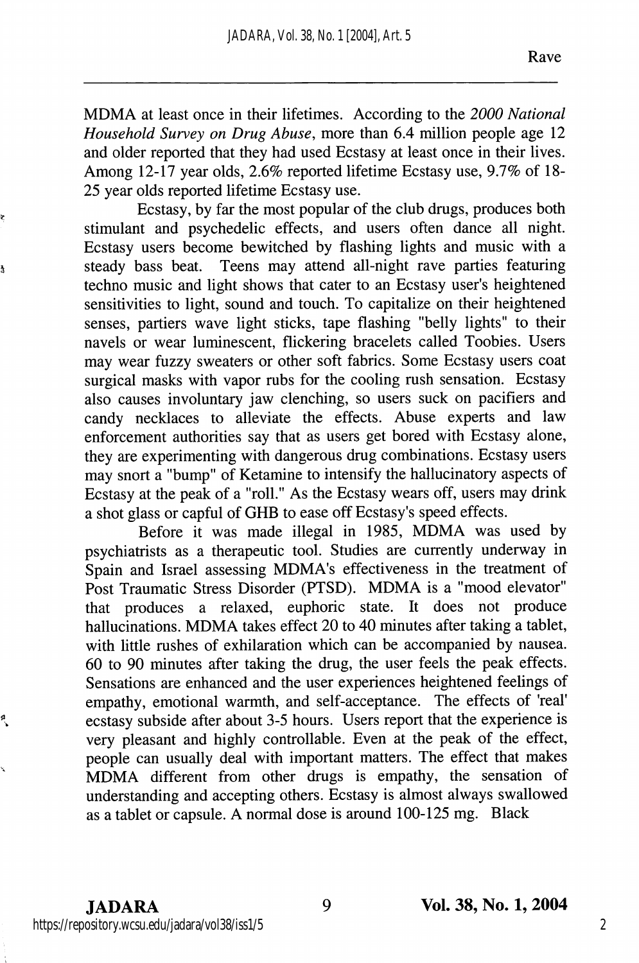MDMA at least once in their lifetimes. According to the 2000 National Household Survey on Drug Abuse, more than 6.4 million people age 12 and older reported that they had used Ecstasy at least once in their lives. Among 12-17 year olds, 2.6% reported lifetime Ecstasy use, 9.7% of 18- 25 year olds reported lifetime Ecstasy use.

Ecstasy, by far the most popular of the club drugs, produces both stimulant and psychedelic effects, and users often dance all night. Ecstasy users become bewitched by flashing lights and music with a steady bass beat. Teens may attend all-night rave parties featuring techno music and light shows that cater to an Ecstasy user's heightened sensitivities to light, sound and touch. To capitalize on their heightened senses, partiers wave light sticks, tape flashing "belly lights" to their navels or wear luminescent, flickering bracelets called Toobies. Users may wear fuzzy sweaters or other soft fabrics. Some Ecstasy users coat surgical masks with vapor rubs for the cooling rush sensation. Ecstasy also causes involuntary jaw clenching, so users suck on pacifiers and candy necklaces to alleviate the effects. Abuse experts and law enforcement authorities say that as users get bored with Ecstasy alone, they are experimenting with dangerous drug combinations. Ecstasy users may snort a "bump" of Ketamine to intensify the hallucinatory aspects of Ecstasy at the peak of a "roll." As the Ecstasy wears off, users may drink a shot glass or capful of GHB to ease off Ecstasy's speed effects.

Before it was made illegal in 1985, MDMA was used by psychiatrists as a therapeutic tool. Studies are currently underway in Spain and Israel assessing MDMA's effectiveness in the treatment of Post Traumatic Stress Disorder (PTSD). MDMA is a "mood elevator" that produces a relaxed, euphoric state. It does not produce hallucinations. MDMA takes effect 20 to 40 minutes after taking a tablet, with little rushes of exhilaration which can be accompanied by nausea. 60 to 90 minutes after taking the drug, the user feels the peak effects. Sensations are enhanced and the user experiences heightened feelings of empathy, emotional warmth, and self-acceptance. The effects of 'real' ecstasy subside after about 3-5 hours. Users report that the experience is very pleasant and highly controllable. Even at the peak of the effect, people can usually deal with important matters. The effect that makes MDMA different from other drugs is empathy, the sensation of understanding and accepting others. Ecstasy is almost always swallowed as a tablet or capsule. A normal dose is around 100-125 mg. Black

ę

à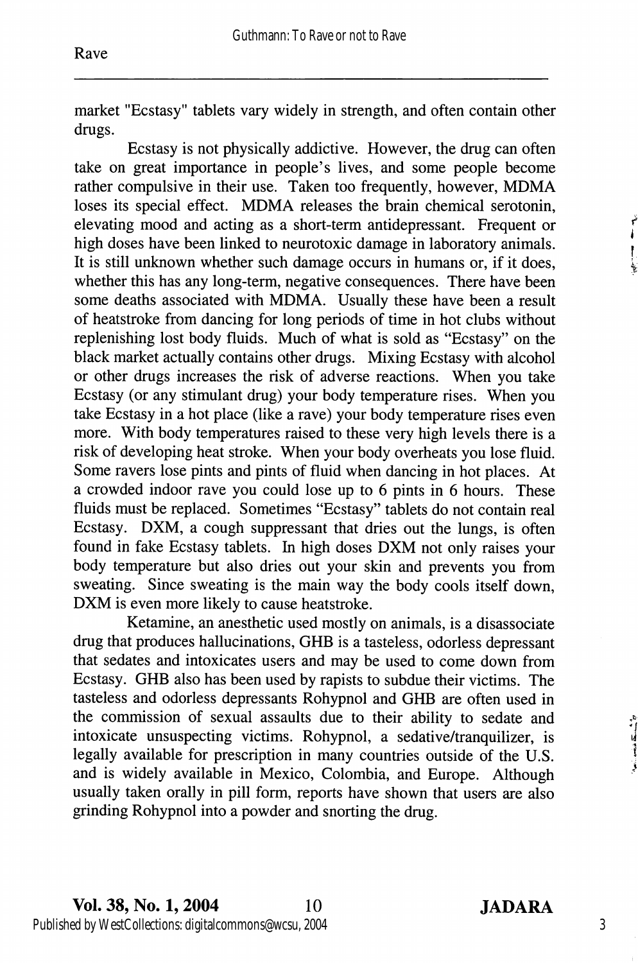market "Ecstasy" tablets vary widely in strength, and often contain other drugs.

Ecstasy is not physically addictive. However, the drug can often take on great importance in people's lives, and some people become rather compulsive in their use. Taken too frequently, however, MDMA loses its special effect. MDMA releases the brain chemical serotonin, elevating mood and acting as a short-term antidepressant. Frequent or high doses have been linked to neurotoxic damage in laboratory animals. It is still unknown whether such damage occurs in humans or, if it does, whether this has any long-term, negative consequences. There have been some deaths associated with MDMA. Usually these have been a result of heatstroke from dancing for long periods of time in hot clubs without replenishing lost body fluids. Much of what is sold as "Ecstasy" on the black market actually contains other drugs. Mixing Ecstasy with alcohol or other drugs increases the risk of adverse reactions. When you take Ecstasy (or any stimulant drug) your body temperature rises. When you take Ecstasy in a hot place (like a rave) your body temperature rises even more. With body temperatures raised to these very high levels there is a risk of developing heat stroke. When your body overheats you lose fluid. Some ravers lose pints and pints of fluid when dancing in hot places. At a crowded indoor rave you could lose up to 6 pints in 6 hours. These fluids must be replaced. Sometimes "Ecstasy" tablets do not contain real Ecstasy. DXM, a cough suppressant that dries out the lungs, is often found in fake Ecstasy tablets. In high doses DXM not only raises your body temperature but also dries out your skin and prevents you from sweating. Since sweating is the main way the body cools itself down, DXM is even more likely to cause heatstroke.

Ketamine, an anesthetic used mostly on animals, is a disassociate drug that produces hallucinations, GHB is a tasteless, odorless depressant that sedates and intoxicates users and may be used to come down from Ecstasy. GHB also has been used by rapists to subdue their victims. The tasteless and odorless depressants Rohypnol and GHB are often used in the commission of sexual assaults due to their ability to sedate and intoxicate unsuspecting victims. Rohypnol, a sedative/tranquilizer, is legally available for prescription in many countries outside of the U.S. and is widely available in Mexico, Colombia, and Europe. Although usually taken orally in pill form, reports have shown that users are also grinding Rohypnol into a powder and snorting the drug.

ř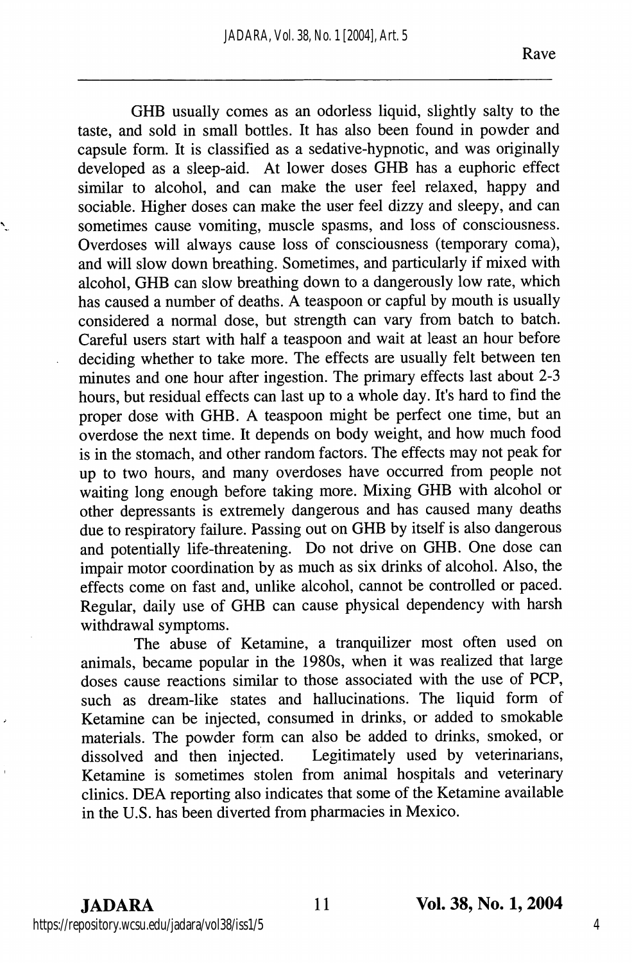GHB usually comes as an odorless liquid, slightly salty to the taste, and sold in small bottles. It has also been found in powder and capsule form. It is classified as a sedative-hypnotic, and was originally developed as a sleep-aid. At lower doses GHB has a euphoric effect similar to alcohol, and can make the user feel relaxed, happy and sociable. Higher doses can make the user feel dizzy and sleepy, and can sometimes cause vomiting, muscle spasms, and loss of consciousness. Overdoses will always cause loss of consciousness (temporary coma), and will slow down breathing. Sometimes, and particularly if mixed with alcohol, GHB can slow breathing down to a dangerously low rate, which has caused a number of deaths. A teaspoon or capful by mouth is usually considered a normal dose, but strength can vary from batch to batch. Careful users start with half a teaspoon and wait at least an hour before deciding whether to take more. The effects are usually felt between ten minutes and one hour after ingestion. The primary effects last about 2-3 hours, but residual effects can last up to a whole day. It's hard to find the proper dose with GHB. A teaspoon might be perfect one time, but an overdose the next time. It depends on body weight, and how much food is in the stomach, and other random factors. The effects may not peak for up to two hours, and many overdoses have occurred from people not waiting long enough before taking more. Mixing GHB with alcohol or other depressants is extremely dangerous and has caused many deaths due to respiratory failure. Passing out on GHB by itself is also dangerous and potentially life-threatening. Do not drive on GHB. One dose can impair motor coordination by as much as six drinks of alcohol. Also, the effects come on fast and, unlike alcohol, cannot be controlled or paced. Regular, daily use of GHB can cause physical dependency with harsh withdrawal symptoms.

The abuse of Ketamine, a tranquilizer most often used on animals, became popular in the 1980s, when it was realized that large doses cause reactions similar to those associated with the use of PCP, such as dream-like states and hallucinations. The liquid form of Ketamine can be injected, consumed in drinks, or added to smokable materials. The powder form can also be added to drinks, smoked, or dissolved and then injected. Legitimately used by veterinarians, Legitimately used by veterinarians, Ketamine is sometimes stolen from animal hospitals and veterinary clinics. DEA reporting also indicates that some of the Ketamine available in the U.S. has been diverted from pharmacies in Mexico.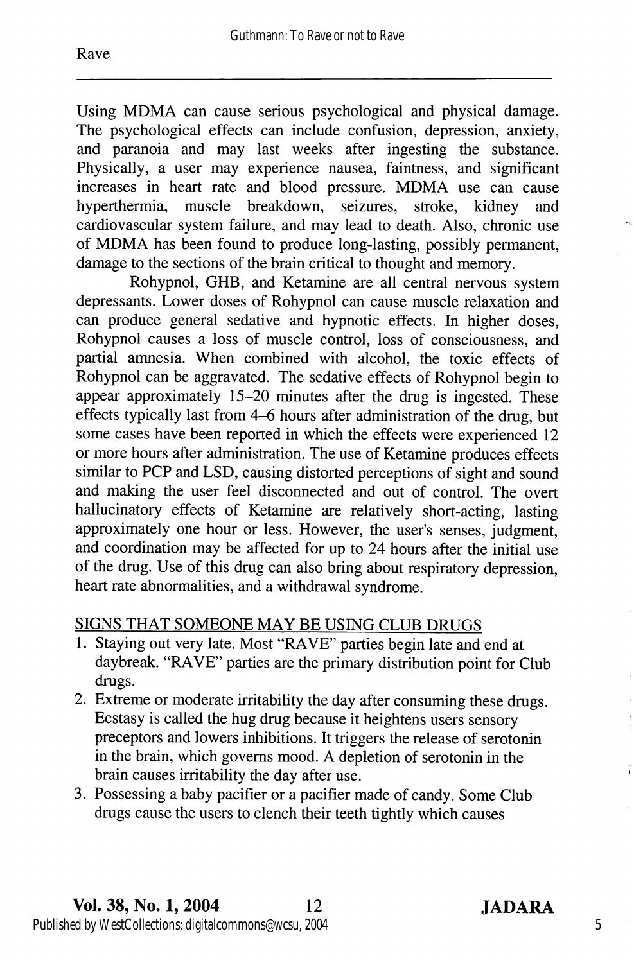Using MDMA can cause serious psychological and physical damage. The psychological effects can include confusion, depression, anxiety, and paranoia and may last weeks after ingesting the substance. Physically, a user may experience nausea, faintness, and significant increases in heart rate and blood pressure. MDMA use can cause hyperthermia, muscle breakdown, seizures, stroke, kidney and muscle breakdown, seizures, cardiovascular system failure, and may lead to death. Also, chronic use of MDMA has been found to produce long-lasting, possibly permanent, damage to the sections of the brain critical to thought and memory.

Rohypnol, GHB, and Ketamine are all central nervous system depressants. Lower doses of Rohypnol can cause muscle relaxation and can produce general sedative and hypnotic effects. In higher doses, Rohypnol causes a loss of muscle control, loss of consciousness, and partial amnesia. When combined with alcohol, the toxic effects of Rohypnol can be aggravated. The sedative effects of Rohypnol begin to appear approximately 15-20 minutes after the drug is ingested. These effects typically last from 4-6 hours after administration of the drug, but some cases have been reported in which the effects were experienced 12 or more hours after administration. The use of Ketamine produces effects similar to PCP and LSD, causing distorted perceptions of sight and sound and making the user feel disconnected and out of control. The overt hallucinatory effects of Ketamine are relatively short-acting, lasting approximately one hour or less. However, the user's senses, judgment, and coordination may be affected for up to 24 hours after the initial use of the drug. Use of this drug can also bring about respiratory depression, heart rate abnormalities, and a withdrawal syndrome.

#### SIGNS THAT SOMEONE MAY BE USING CLUB DRUGS

- 1. Staying out very late. Most "RAVE" parties begin late and end at daybreak. "RAVE" parties are the primary distribution point for Club drugs.
- 2. Extreme or moderate irritability the day after consuming these drugs. Ecstasy is called the hug drug because it heightens users sensory preceptors and lowers inhibitions. It triggers the release of serotonin in the brain, which governs mood. A depletion of serotonin in the brain causes irritability the day after use.
- 3. Possessing a baby pacifier or a pacifier made of candy. Some Club drugs cause the users to clench their teeth tightly which causes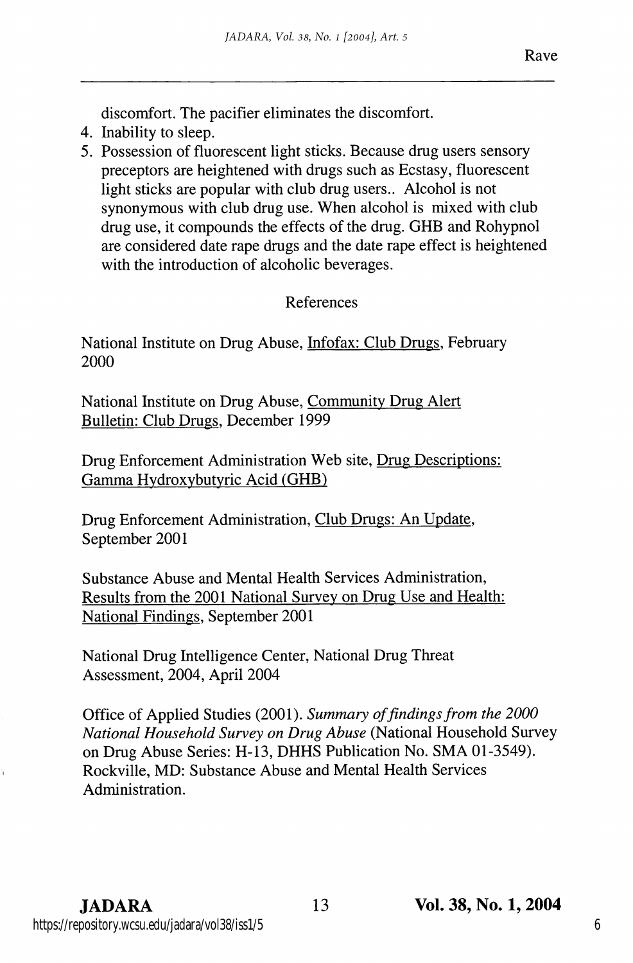discomfort. The pacifier eliminates the discomfort.

- 4. Inability to sleep.
- 5. Possession of fluorescent light sticks. Because drug users sensory preceptors are heightened with drugs such as Ecstasy, fluorescent light sticks are popular with club drug users.. Alcohol is not synonymous with club drug use. When alcohol is mixed with club drug use, it compounds the effects of the drug. GHB and Rohypnol are considered date rape drugs and the date rape effect is heightened with the introduction of alcoholic beverages.

#### References

National Institute on Drug Abuse, Infofax: Club Drugs. February 2000

National Institute on Drug Abuse, Communitv Drug Alert Bulletin: Club Drugs. December 1999

Drug Enforcement Administration Web site. Drug Descriptions: Gamma Hvdroxvbutvric Acid (GHB)

Drug Enforcement Administration, Club Drugs: An Update. September 2001

Substance Abuse and Mental Health Services Administration, Results from the 2001 National Survev on Drug Use and Health: National Findings. September 2001

National Drug Intelligence Center, National Drug Threat Assessment, 2004, April 2004

Office of Applied Studies (2001). Summary of findings from the 2000 National Household Survey on Drug Abuse (National Household Survey on Drug Abuse Series: H-I3, DHHS Publication No. SMA 01-3549). Rockville, MD: Substance Abuse and Mental Health Services Administration.